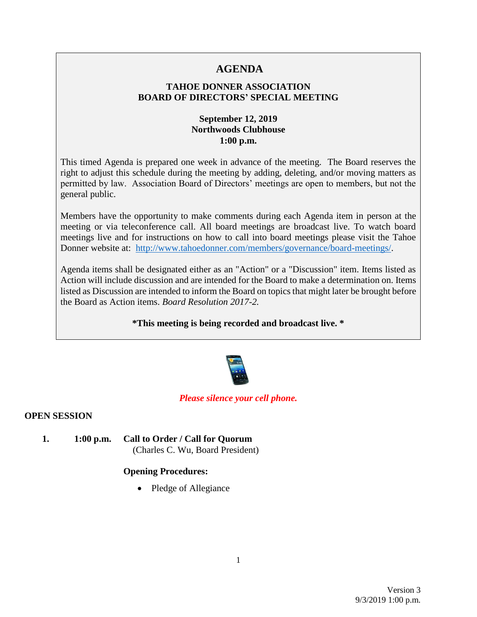# **AGENDA**

### **TAHOE DONNER ASSOCIATION BOARD OF DIRECTORS' SPECIAL MEETING**

### **September 12, 2019 Northwoods Clubhouse 1:00 p.m.**

This timed Agenda is prepared one week in advance of the meeting. The Board reserves the right to adjust this schedule during the meeting by adding, deleting, and/or moving matters as permitted by law. Association Board of Directors' meetings are open to members, but not the general public.

Members have the opportunity to make comments during each Agenda item in person at the meeting or via teleconference call. All board meetings are broadcast live. To watch board meetings live and for instructions on how to call into board meetings please visit the Tahoe Donner website at: [http://www.tahoedonner.com/members/governance/board-meetings/.](http://www.tahoedonner.com/members/governance/board-meetings/)

Agenda items shall be designated either as an "Action" or a "Discussion" item. Items listed as Action will include discussion and are intended for the Board to make a determination on. Items listed as Discussion are intended to inform the Board on topics that might later be brought before the Board as Action items. *Board Resolution 2017-2.*

**\*This meeting is being recorded and broadcast live. \***



#### *Please silence your cell phone.*

#### **OPEN SESSION**

**1. 1:00 p.m. Call to Order / Call for Quorum** (Charles C. Wu, Board President)

### **Opening Procedures:**

• Pledge of Allegiance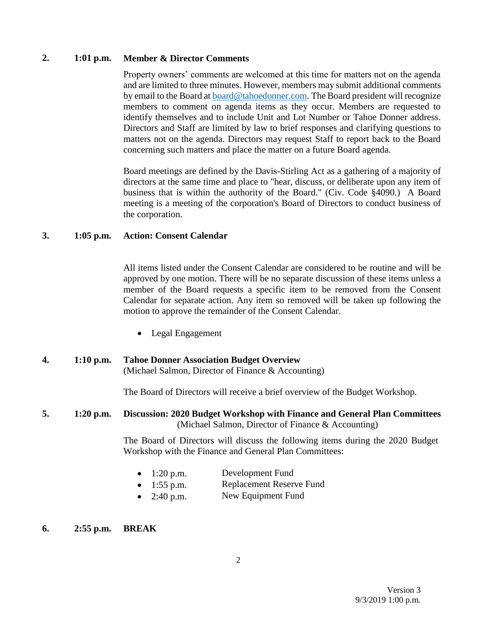#### **2. 1:01 p.m. Member & Director Comments**

Property owners' comments are welcomed at this time for matters not on the agenda and are limited to three minutes. However, members may submit additional comments by email to the Board at [board@tahoedonner.com.](mailto:board@tahoedonner.com) The Board president will recognize members to comment on agenda items as they occur. Members are requested to identify themselves and to include Unit and Lot Number or Tahoe Donner address. Directors and Staff are limited by law to brief responses and clarifying questions to matters not on the agenda. Directors may request Staff to report back to the Board concerning such matters and place the matter on a future Board agenda.

Board meetings are defined by the Davis-Stirling Act as a gathering of a majority of directors at the same time and place to "hear, discuss, or deliberate upon any item of business that is within the authority of the Board." (Civ. Code §4090.) A Board meeting is a meeting of the corporation's Board of Directors to conduct business of the corporation.

#### **3. 1:05 p.m. Action: Consent Calendar**

All items listed under the Consent Calendar are considered to be routine and will be approved by one motion. There will be no separate discussion of these items unless a member of the Board requests a specific item to be removed from the Consent Calendar for separate action. Any item so removed will be taken up following the motion to approve the remainder of the Consent Calendar.

• Legal Engagement

#### **4. 1:10 p.m. Tahoe Donner Association Budget Overview** (Michael Salmon, Director of Finance & Accounting)

The Board of Directors will receive a brief overview of the Budget Workshop.

#### **5. 1:20 p.m. Discussion: 2020 Budget Workshop with Finance and General Plan Committees** (Michael Salmon, Director of Finance & Accounting)

The Board of Directors will discuss the following items during the 2020 Budget Workshop with the Finance and General Plan Committees:

- 1:20 p.m. Development Fund
- 1:55 p.m. Replacement Reserve Fund
- 2:40 p.m. New Equipment Fund

#### **6. 2:55 p.m. BREAK**